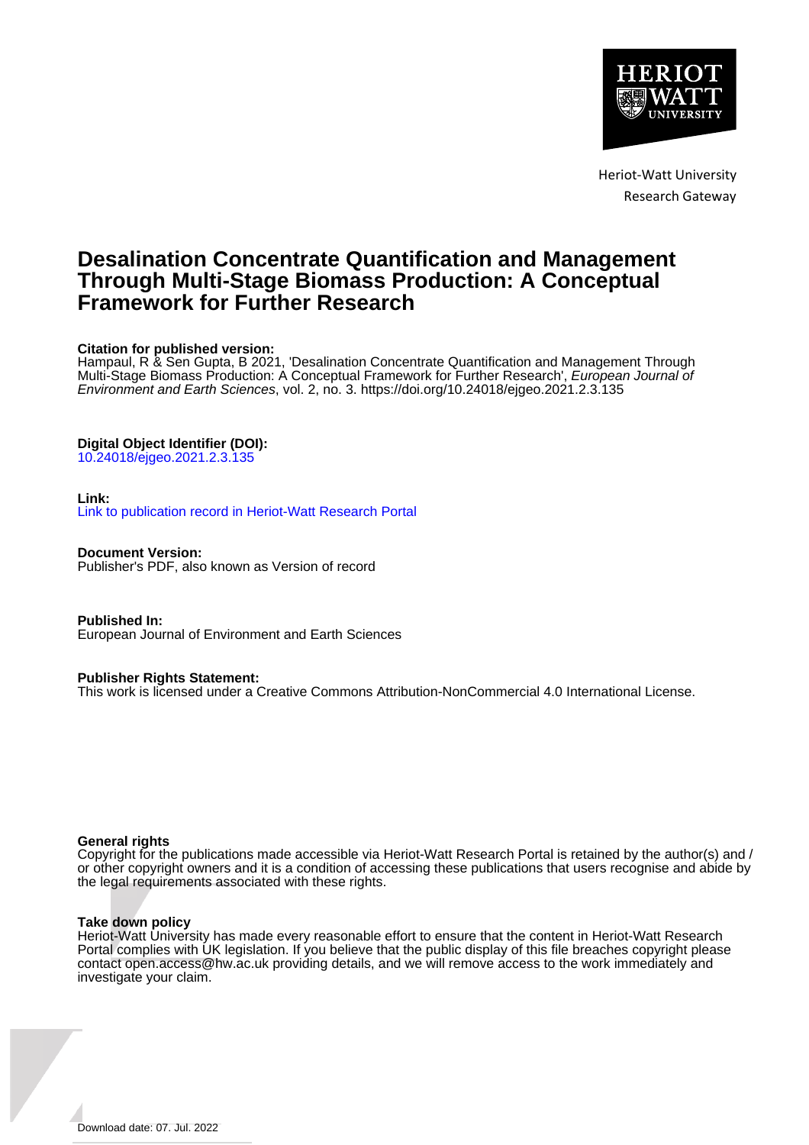

Heriot-Watt University Research Gateway

# **Desalination Concentrate Quantification and Management Through Multi-Stage Biomass Production: A Conceptual Framework for Further Research**

# **Citation for published version:**

Hampaul, R & Sen Gupta, B 2021, 'Desalination Concentrate Quantification and Management Through Multi-Stage Biomass Production: A Conceptual Framework for Further Research', European Journal of Environment and Earth Sciences, vol. 2, no. 3.<https://doi.org/10.24018/ejgeo.2021.2.3.135>

# **Digital Object Identifier (DOI):**

[10.24018/ejgeo.2021.2.3.135](https://doi.org/10.24018/ejgeo.2021.2.3.135)

# **Link:**

[Link to publication record in Heriot-Watt Research Portal](https://researchportal.hw.ac.uk/en/publications/e7227d9d-542b-45bc-947b-1866f32e72f9)

**Document Version:** Publisher's PDF, also known as Version of record

**Published In:** European Journal of Environment and Earth Sciences

# **Publisher Rights Statement:**

This work is licensed under a Creative Commons Attribution-NonCommercial 4.0 International License.

# **General rights**

Copyright for the publications made accessible via Heriot-Watt Research Portal is retained by the author(s) and / or other copyright owners and it is a condition of accessing these publications that users recognise and abide by the legal requirements associated with these rights.

# **Take down policy**

Heriot-Watt University has made every reasonable effort to ensure that the content in Heriot-Watt Research Portal complies with UK legislation. If you believe that the public display of this file breaches copyright please contact open.access@hw.ac.uk providing details, and we will remove access to the work immediately and investigate your claim.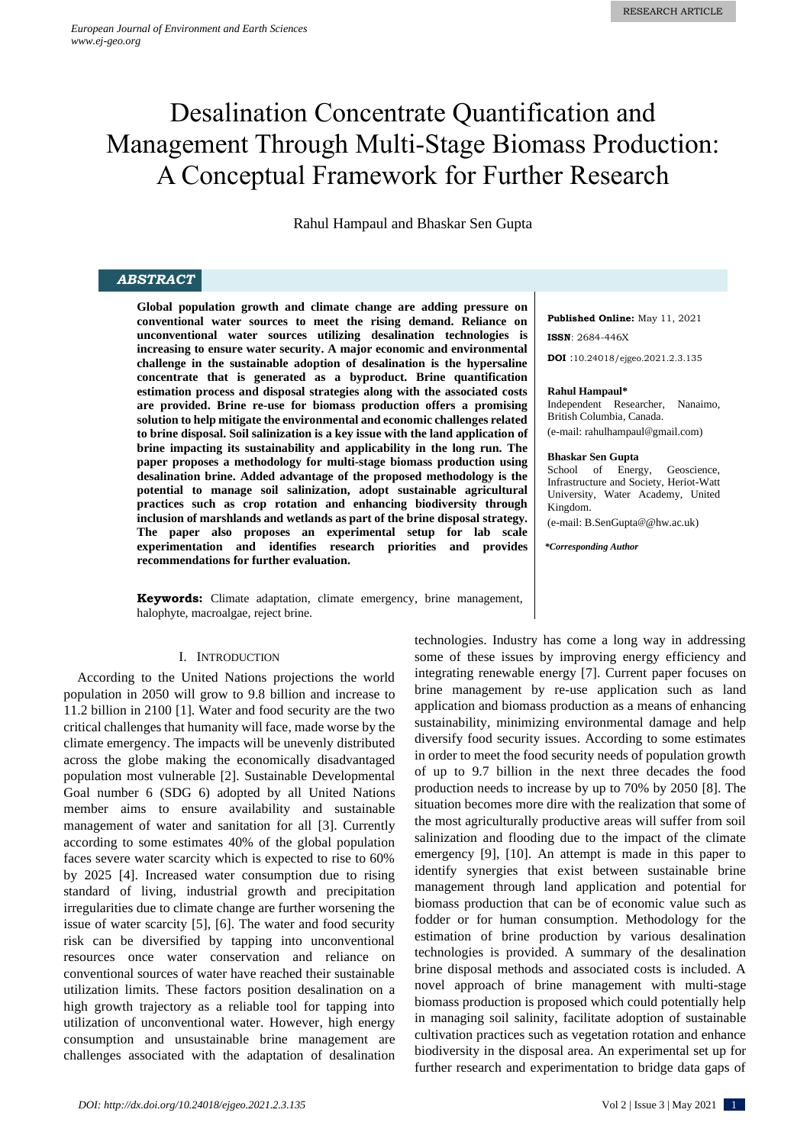# Desalination Concentrate Quantification and Management Through Multi-Stage Biomass Production: A Conceptual Framework for Further Research

Rahul Hampaul and Bhaskar Sen Gupta

# *ABSTRACT*

**Global population growth and climate change are adding pressure on conventional water sources to meet the rising demand. Reliance on unconventional water sources utilizing desalination technologies is increasing to ensure water security. A major economic and environmental challenge in the sustainable adoption of desalination is the hypersaline concentrate that is generated as a byproduct. Brine quantification estimation process and disposal strategies along with the associated costs are provided. Brine re-use for biomass production offers a promising solution to help mitigate the environmental and economic challenges related to brine disposal. Soil salinization is a key issue with the land application of brine impacting its sustainability and applicability in the long run. The paper proposes a methodology for multi-stage biomass production using desalination brine. Added advantage of the proposed methodology is the potential to manage soil salinization, adopt sustainable agricultural practices such as crop rotation and enhancing biodiversity through inclusion of marshlands and wetlands as part of the brine disposal strategy. The paper also proposes an experimental setup for lab scale experimentation and identifies research priorities and provides recommendations for further evaluation.**

**Keywords:** Climate adaptation, climate emergency, brine management, halophyte, macroalgae, reject brine.

#### I. INTRODUCTION

According to the United Nations projections the world population in 2050 will grow to 9.8 billion and increase to 11.2 billion in 2100 [1]. Water and food security are the two critical challenges that humanity will face, made worse by the climate emergency. The impacts will be unevenly distributed across the globe making the economically disadvantaged population most vulnerable [2]. Sustainable Developmental Goal number 6 (SDG 6) adopted by all United Nations member aims to ensure availability and sustainable management of water and sanitation for all [3]. Currently according to some estimates 40% of the global population faces severe water scarcity which is expected to rise to 60% by 2025 [4]. Increased water consumption due to rising standard of living, industrial growth and precipitation irregularities due to climate change are further worsening the issue of water scarcity [5], [6]. The water and food security risk can be diversified by tapping into unconventional resources once water conservation and reliance on conventional sources of water have reached their sustainable utilization limits. These factors position desalination on a high growth trajectory as a reliable tool for tapping into utilization of unconventional water. However, high energy consumption and unsustainable brine management are challenges associated with the adaptation of desalination

**Published Online:** May 11, 2021 **ISSN**: 2684-446X

**DOI** :10.24018/ejgeo.2021.2.3.135

#### **Rahul Hampaul\***

Independent Researcher, Nanaimo, British Columbia, Canada. (e-mail: rahulhampaul@gmail.com)

#### **Bhaskar Sen Gupta**

School of Energy, Geoscience, Infrastructure and Society, Heriot-Watt University, Water Academy, United Kingdom.

(e-mail: B.SenGupta@@hw.ac.uk)

*\*Corresponding Author*

technologies. Industry has come a long way in addressing some of these issues by improving energy efficiency and integrating renewable energy [7]. Current paper focuses on brine management by re-use application such as land application and biomass production as a means of enhancing sustainability, minimizing environmental damage and help diversify food security issues. According to some estimates in order to meet the food security needs of population growth of up to 9.7 billion in the next three decades the food production needs to increase by up to 70% by 2050 [8]. The situation becomes more dire with the realization that some of the most agriculturally productive areas will suffer from soil salinization and flooding due to the impact of the climate emergency [9], [10]. An attempt is made in this paper to identify synergies that exist between sustainable brine management through land application and potential for biomass production that can be of economic value such as fodder or for human consumption. Methodology for the estimation of brine production by various desalination technologies is provided. A summary of the desalination brine disposal methods and associated costs is included. A novel approach of brine management with multi-stage biomass production is proposed which could potentially help in managing soil salinity, facilitate adoption of sustainable cultivation practices such as vegetation rotation and enhance biodiversity in the disposal area. An experimental set up for further research and experimentation to bridge data gaps of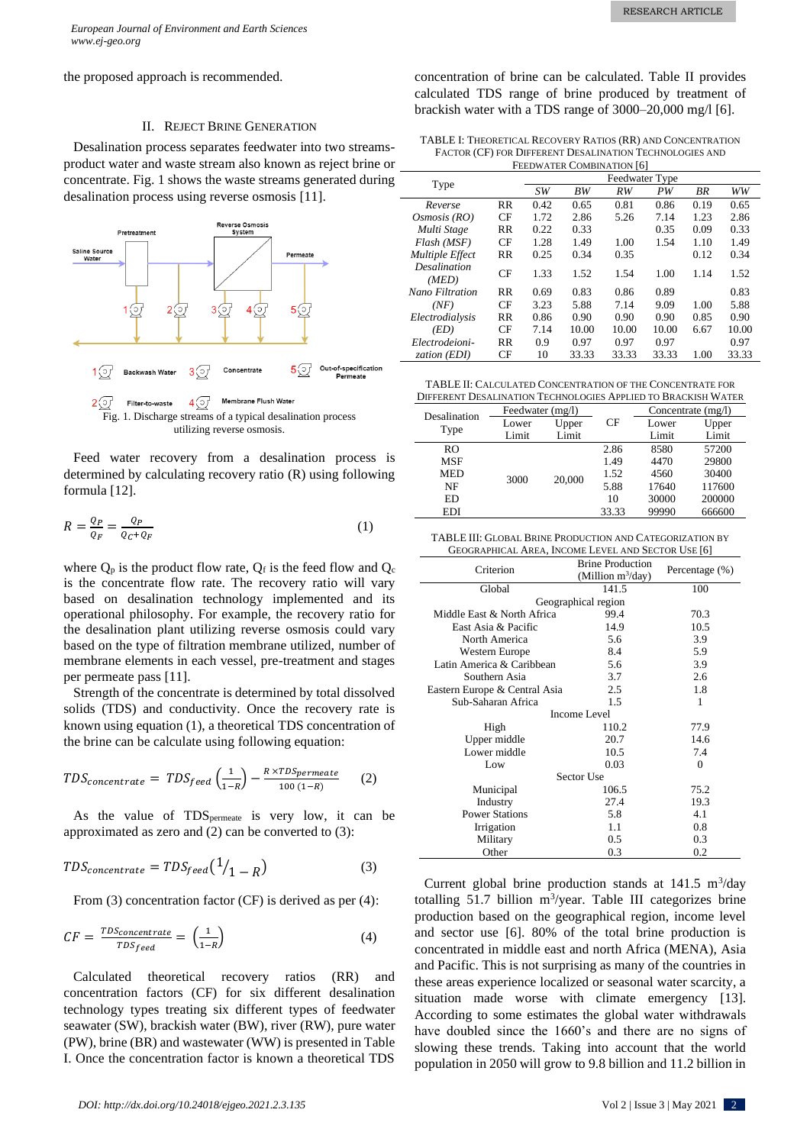the proposed approach is recommended.

#### II. REJECT BRINE GENERATION

Desalination process separates feedwater into two streamsproduct water and waste stream also known as reject brine or concentrate. Fig. 1 shows the waste streams generated during desalination process using reverse osmosis [11].



Feed water recovery from a desalination process is determined by calculating recovery ratio (R) using following formula [12].

$$
R = \frac{Q_P}{Q_F} = \frac{Q_P}{Q_C + Q_F} \tag{1}
$$

where  $Q_p$  is the product flow rate,  $Q_f$  is the feed flow and  $Q_c$ is the concentrate flow rate. The recovery ratio will vary based on desalination technology implemented and its operational philosophy. For example, the recovery ratio for the desalination plant utilizing reverse osmosis could vary based on the type of filtration membrane utilized, number of membrane elements in each vessel, pre-treatment and stages per permeate pass [11].

Strength of the concentrate is determined by total dissolved solids (TDS) and conductivity. Once the recovery rate is known using equation (1), a theoretical TDS concentration of the brine can be calculate using following equation:

$$
TDS_{concentrate} = TDS_{feed} \left(\frac{1}{1-R}\right) - \frac{R \times TDS_{permeate}}{100 (1-R)} \tag{2}
$$

As the value of  $TDS_{\text{permeate}}$  is very low, it can be approximated as zero and (2) can be converted to (3):

$$
TDS_{concentrate} = TDS_{feed} \left(\frac{1}{1 - R}\right) \tag{3}
$$

From (3) concentration factor (CF) is derived as per (4):

$$
CF = \frac{TDS_{concentrate}}{TDS_{feed}} = \left(\frac{1}{1-R}\right)
$$
 (4)

Calculated theoretical recovery ratios (RR) and concentration factors (CF) for six different desalination technology types treating six different types of feedwater seawater (SW), brackish water (BW), river (RW), pure water (PW), brine (BR) and wastewater (WW) is presented in Table I. Once the concentration factor is known a theoretical TDS

concentration of brine can be calculated. Table II provides calculated TDS range of brine produced by treatment of brackish water with a TDS range of 3000–20,000 mg/l [6].

| TABLE I: THEORETICAL RECOVERY RATIOS (RR) AND CONCENTRATION |
|-------------------------------------------------------------|
| FACTOR (CF) FOR DIFFERENT DESALINATION TECHNOLOGIES AND     |
| <b>FEEDWATER COMBINATION [6]</b>                            |

|                              |           | Feedwater Type |       |       |       |      |       |
|------------------------------|-----------|----------------|-------|-------|-------|------|-------|
|                              | Type      | SW <sub></sub> | BW    | RW    | PW    | ΒR   | WW    |
| Reverse                      | <b>RR</b> | 0.42           | 0.65  | 0.81  | 0.86  | 0.19 | 0.65  |
| Osmosis (RO)                 | CF        | 1.72           | 2.86  | 5.26  | 7.14  | 1.23 | 2.86  |
| Multi Stage                  | <b>RR</b> | 0.22           | 0.33  |       | 0.35  | 0.09 | 0.33  |
| Flash (MSF)                  | CF        | 1.28           | 1.49  | 1.00  | 1.54  | 1.10 | 1.49  |
| <b>Multiple Effect</b>       | $_{RR}$   | 0.25           | 0.34  | 0.35  |       | 0.12 | 0.34  |
| <b>Desalination</b><br>(MED) | CF        | 1.33           | 1.52  | 1.54  | 1.00  | 1.14 | 1.52  |
| Nano Filtration              | <b>RR</b> | 0.69           | 0.83  | 0.86  | 0.89  |      | 0.83  |
| (NF)                         | CF        | 3.23           | 5.88  | 7.14  | 9.09  | 1.00 | 5.88  |
| Electrodialysis              | <b>RR</b> | 0.86           | 0.90  | 0.90  | 0.90  | 0.85 | 0.90  |
| (ED)                         | CF        | 7.14           | 10.00 | 10.00 | 10.00 | 6.67 | 10.00 |
| Electrodeioni-               | <b>RR</b> | 0.9            | 0.97  | 0.97  | 0.97  |      | 0.97  |
| zation (EDI)                 | CF        | 10             | 33.33 | 33.33 | 33.33 | 1.00 | 33.33 |

TABLE II: CALCULATED CONCENTRATION OF THE CONCENTRATE FOR

| DIFFERENT DESALINATION TECHNOLOGIES APPLIED TO BRACKISH WATER |                  |        |       |                      |        |  |
|---------------------------------------------------------------|------------------|--------|-------|----------------------|--------|--|
| Desalination<br>Type                                          | Feedwater (mg/l) |        |       | Concentrate $(mg/l)$ |        |  |
|                                                               | Lower            | Upper  | СF    | Lower                | Upper  |  |
|                                                               | Limit            | Limit  |       | Limit                | Limit  |  |
| RO                                                            |                  |        | 2.86  | 8580                 | 57200  |  |
| <b>MSF</b>                                                    |                  |        | 1.49  | 4470                 | 29800  |  |
| <b>MED</b>                                                    | 3000             | 20,000 | 1.52  | 4560                 | 30400  |  |
| NF                                                            |                  |        | 5.88  | 17640                | 117600 |  |
| <b>ED</b>                                                     |                  |        | 10    | 30000                | 200000 |  |
| <b>EDI</b>                                                    |                  |        | 33.33 | 99990                | 666600 |  |

TABLE III: GLOBAL BRINE PRODUCTION AND CATEGORIZATION BY GEOGRAPHICAL AREA, INCOME LEVEL AND SECTOR USE [6]

| Criterion                     | <b>Brine Production</b><br>(Million $m^3$ /day) | Percentage (%) |  |  |  |
|-------------------------------|-------------------------------------------------|----------------|--|--|--|
| Global                        | 141.5                                           | 100            |  |  |  |
|                               | Geographical region                             |                |  |  |  |
| Middle East & North Africa    | 99.4                                            | 70.3           |  |  |  |
| East Asia & Pacific           | 14.9                                            | 10.5           |  |  |  |
| North America                 | 5.6                                             | 3.9            |  |  |  |
| Western Europe                | 8.4                                             | 5.9            |  |  |  |
| Latin America & Caribbean     | 5.6                                             | 3.9            |  |  |  |
| Southern Asia                 | 3.7                                             | 2.6            |  |  |  |
| Eastern Europe & Central Asia | 2.5                                             | 1.8            |  |  |  |
| Sub-Saharan Africa            | 1.5                                             | 1              |  |  |  |
|                               | <b>Income Level</b>                             |                |  |  |  |
| High                          | 110.2                                           | 77.9           |  |  |  |
| Upper middle                  | 20.7                                            | 14.6           |  |  |  |
| Lower middle                  | 10.5                                            | 7.4            |  |  |  |
| Low                           | 0.03                                            | $\Omega$       |  |  |  |
| Sector Use                    |                                                 |                |  |  |  |
| Municipal                     | 106.5                                           | 75.2           |  |  |  |
| Industry                      | 27.4                                            | 19.3           |  |  |  |
| <b>Power Stations</b>         | 5.8                                             | 4.1            |  |  |  |
| Irrigation                    | 1.1                                             | 0.8            |  |  |  |
| Military                      | 0.5                                             | 0.3            |  |  |  |
| Other                         | 0.3                                             | 0.2            |  |  |  |

Current global brine production stands at  $141.5 \text{ m}^3/\text{day}$ totalling  $51.7$  billion m<sup>3</sup>/year. Table III categorizes brine production based on the geographical region, income level and sector use [6]. 80% of the total brine production is concentrated in middle east and north Africa (MENA), Asia and Pacific. This is not surprising as many of the countries in these areas experience localized or seasonal water scarcity, a situation made worse with climate emergency [13]. According to some estimates the global water withdrawals have doubled since the 1660's and there are no signs of slowing these trends. Taking into account that the world population in 2050 will grow to 9.8 billion and 11.2 billion in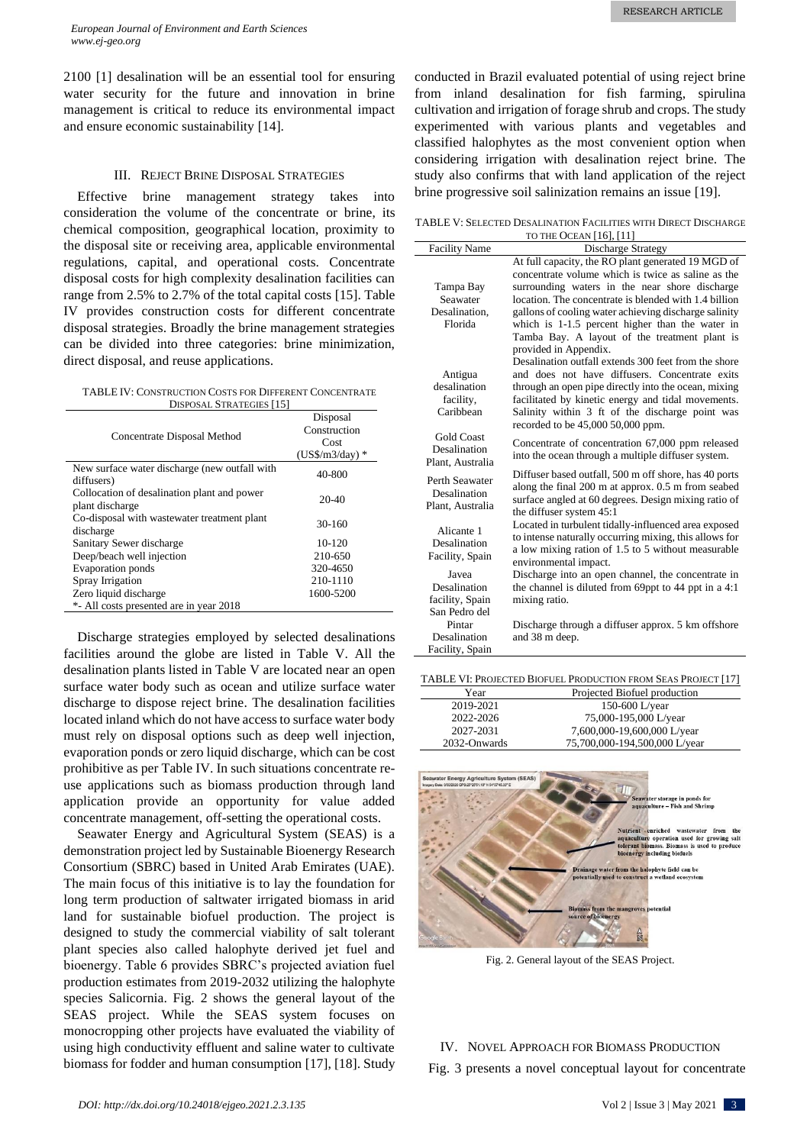2100 [1] desalination will be an essential tool for ensuring water security for the future and innovation in brine management is critical to reduce its environmental impact and ensure economic sustainability [14].

# III. REJECT BRINE DISPOSAL STRATEGIES

Effective brine management strategy takes into consideration the volume of the concentrate or brine, its chemical composition, geographical location, proximity to the disposal site or receiving area, applicable environmental regulations, capital, and operational costs. Concentrate disposal costs for high complexity desalination facilities can range from 2.5% to 2.7% of the total capital costs [15]. Table IV provides construction costs for different concentrate disposal strategies. Broadly the brine management strategies can be divided into three categories: brine minimization, direct disposal, and reuse applications.

TABLE IV: CONSTRUCTION COSTS FOR DIFFERENT CONCENTRATE DISPOSAL STRATEGIES [15]

| <b>DISLOSAL STRATLOILS   I.S.</b>                              |                                                      |
|----------------------------------------------------------------|------------------------------------------------------|
| Concentrate Disposal Method                                    | Disposal<br>Construction<br>Cost<br>$(US\$/m3/day)*$ |
| New surface water discharge (new outfall with<br>diffusers)    | 40-800                                               |
| Collocation of desalination plant and power<br>plant discharge | $20-40$                                              |
| Co-disposal with wastewater treatment plant<br>discharge       | $30-160$                                             |
| Sanitary Sewer discharge                                       | $10-120$                                             |
| Deep/beach well injection                                      | 210-650                                              |
| <b>Evaporation ponds</b>                                       | 320-4650                                             |
| Spray Irrigation                                               | 210-1110                                             |
| Zero liquid discharge                                          | 1600-5200                                            |
| *- All costs presented are in year 2018                        |                                                      |

Discharge strategies employed by selected desalinations facilities around the globe are listed in Table V. All the desalination plants listed in Table V are located near an open surface water body such as ocean and utilize surface water discharge to dispose reject brine. The desalination facilities located inland which do not have access to surface water body must rely on disposal options such as deep well injection, evaporation ponds or zero liquid discharge, which can be cost prohibitive as per Table IV. In such situations concentrate reuse applications such as biomass production through land application provide an opportunity for value added concentrate management, off-setting the operational costs.

Seawater Energy and Agricultural System (SEAS) is a demonstration project led by Sustainable Bioenergy Research Consortium (SBRC) based in United Arab Emirates (UAE). The main focus of this initiative is to lay the foundation for long term production of saltwater irrigated biomass in arid land for sustainable biofuel production. The project is designed to study the commercial viability of salt tolerant plant species also called halophyte derived jet fuel and bioenergy. Table 6 provides SBRC's projected aviation fuel production estimates from 2019-2032 utilizing the halophyte species Salicornia. Fig. 2 shows the general layout of the SEAS project. While the SEAS system focuses on monocropping other projects have evaluated the viability of using high conductivity effluent and saline water to cultivate biomass for fodder and human consumption [17], [18]. Study conducted in Brazil evaluated potential of using reject brine from inland desalination for fish farming, spirulina cultivation and irrigation of forage shrub and crops. The study experimented with various plants and vegetables and classified halophytes as the most convenient option when considering irrigation with desalination reject brine. The study also confirms that with land application of the reject brine progressive soil salinization remains an issue [19].

TABLE V: SELECTED DESALINATION FACILITIES WITH DIRECT DISCHARGE TO THE OCEAN [16], [11]

| <b>Facility Name</b>    | Discharge Strategy                                                               |
|-------------------------|----------------------------------------------------------------------------------|
|                         | At full capacity, the RO plant generated 19 MGD of                               |
|                         | concentrate volume which is twice as saline as the                               |
| Tampa Bay               | surrounding waters in the near shore discharge                                   |
| Seawater                | location. The concentrate is blended with 1.4 billion                            |
| Desalination.           | gallons of cooling water achieving discharge salinity                            |
| Florida                 | which is 1-1.5 percent higher than the water in                                  |
|                         | Tamba Bay. A layout of the treatment plant is                                    |
|                         | provided in Appendix.<br>Desalination outfall extends 300 feet from the shore    |
|                         | and does not have diffusers. Concentrate exits                                   |
| Antigua<br>desalination | through an open pipe directly into the ocean, mixing                             |
| facility,               | facilitated by kinetic energy and tidal movements.                               |
| Caribbean               | Salinity within 3 ft of the discharge point was                                  |
|                         | recorded to be 45,000 50,000 ppm.                                                |
| <b>Gold Coast</b>       | Concentrate of concentration 67,000 ppm released                                 |
| Desalination            | into the ocean through a multiple diffuser system.                               |
| Plant. Australia        |                                                                                  |
| Perth Seawater          | Diffuser based outfall, 500 m off shore, has 40 ports                            |
| Desalination            | along the final 200 m at approx. 0.5 m from seabed                               |
| Plant, Australia        | surface angled at 60 degrees. Design mixing ratio of<br>the diffuser system 45:1 |
|                         | Located in turbulent tidally-influenced area exposed                             |
| Alicante 1              | to intense naturally occurring mixing, this allows for                           |
| Desalination            | a low mixing ration of 1.5 to 5 without measurable                               |
| Facility, Spain         | environmental impact.                                                            |
| Javea                   | Discharge into an open channel, the concentrate in                               |
| Desalination            | the channel is diluted from 69ppt to 44 ppt in a 4:1                             |
| facility, Spain         | mixing ratio.                                                                    |
| San Pedro del           |                                                                                  |
| Pintar                  | Discharge through a diffuser approx. 5 km offshore                               |
| Desalination            | and 38 m deep.                                                                   |
| Facility, Spain         |                                                                                  |

TABLE VI: PROJECTED BIOFUEL PRODUCTION FROM SEAS PROJECT [17]

| Year         | Projected Biofuel production  |
|--------------|-------------------------------|
| 2019-2021    | 150-600 L/year                |
| 2022-2026    | 75,000-195,000 L/year         |
| 2027-2031    | 7,600,000-19,600,000 L/year   |
| 2032-Onwards | 75,700,000-194,500,000 L/year |



Fig. 2. General layout of the SEAS Project.

IV. NOVEL APPROACH FOR BIOMASS PRODUCTION Fig. 3 presents a novel conceptual layout for concentrate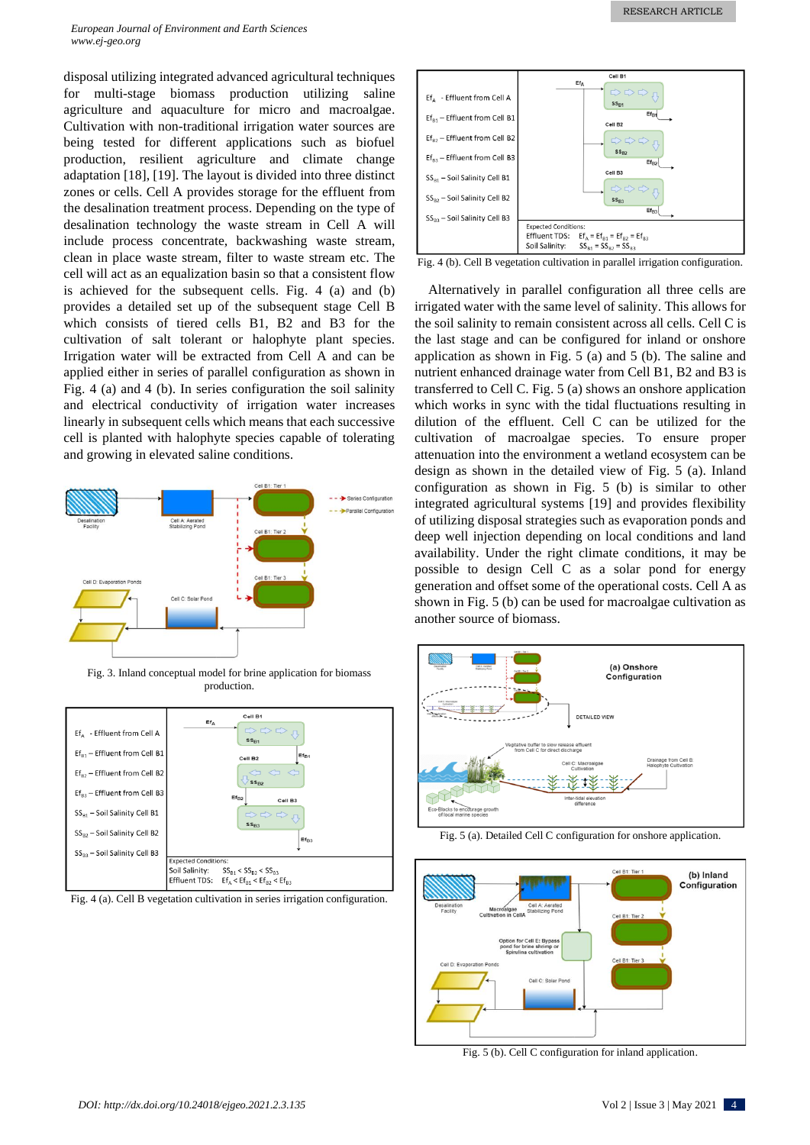*European Journal of Environment and Earth Sciences www.ej-geo.org*

disposal utilizing integrated advanced agricultural techniques for multi-stage biomass production utilizing saline agriculture and aquaculture for micro and macroalgae. Cultivation with non-traditional irrigation water sources are being tested for different applications such as biofuel production, resilient agriculture and climate change adaptation [18], [19]. The layout is divided into three distinct zones or cells. Cell A provides storage for the effluent from the desalination treatment process. Depending on the type of desalination technology the waste stream in Cell A will include process concentrate, backwashing waste stream, clean in place waste stream, filter to waste stream etc. The cell will act as an equalization basin so that a consistent flow is achieved for the subsequent cells. Fig. 4 (a) and (b) provides a detailed set up of the subsequent stage Cell B which consists of tiered cells B1, B2 and B3 for the cultivation of salt tolerant or halophyte plant species. Irrigation water will be extracted from Cell A and can be applied either in series of parallel configuration as shown in Fig. 4 (a) and 4 (b). In series configuration the soil salinity and electrical conductivity of irrigation water increases linearly in subsequent cells which means that each successive cell is planted with halophyte species capable of tolerating and growing in elevated saline conditions.



Fig. 3. Inland conceptual model for brine application for biomass production.



Fig. 4 (a). Cell B vegetation cultivation in series irrigation configuration.



Fig. 4 (b). Cell B vegetation cultivation in parallel irrigation configuration.

Alternatively in parallel configuration all three cells are irrigated water with the same level of salinity. This allows for the soil salinity to remain consistent across all cells. Cell C is the last stage and can be configured for inland or onshore application as shown in Fig. 5 (a) and 5 (b). The saline and nutrient enhanced drainage water from Cell B1, B2 and B3 is transferred to Cell C. Fig. 5 (a) shows an onshore application which works in sync with the tidal fluctuations resulting in dilution of the effluent. Cell C can be utilized for the cultivation of macroalgae species. To ensure proper attenuation into the environment a wetland ecosystem can be design as shown in the detailed view of Fig. 5 (a). Inland configuration as shown in Fig. 5 (b) is similar to other integrated agricultural systems [19] and provides flexibility of utilizing disposal strategies such as evaporation ponds and deep well injection depending on local conditions and land availability. Under the right climate conditions, it may be possible to design Cell C as a solar pond for energy generation and offset some of the operational costs. Cell A as shown in Fig. 5 (b) can be used for macroalgae cultivation as another source of biomass.



Fig. 5 (a). Detailed Cell C configuration for onshore application.



Fig. 5 (b). Cell C configuration for inland application.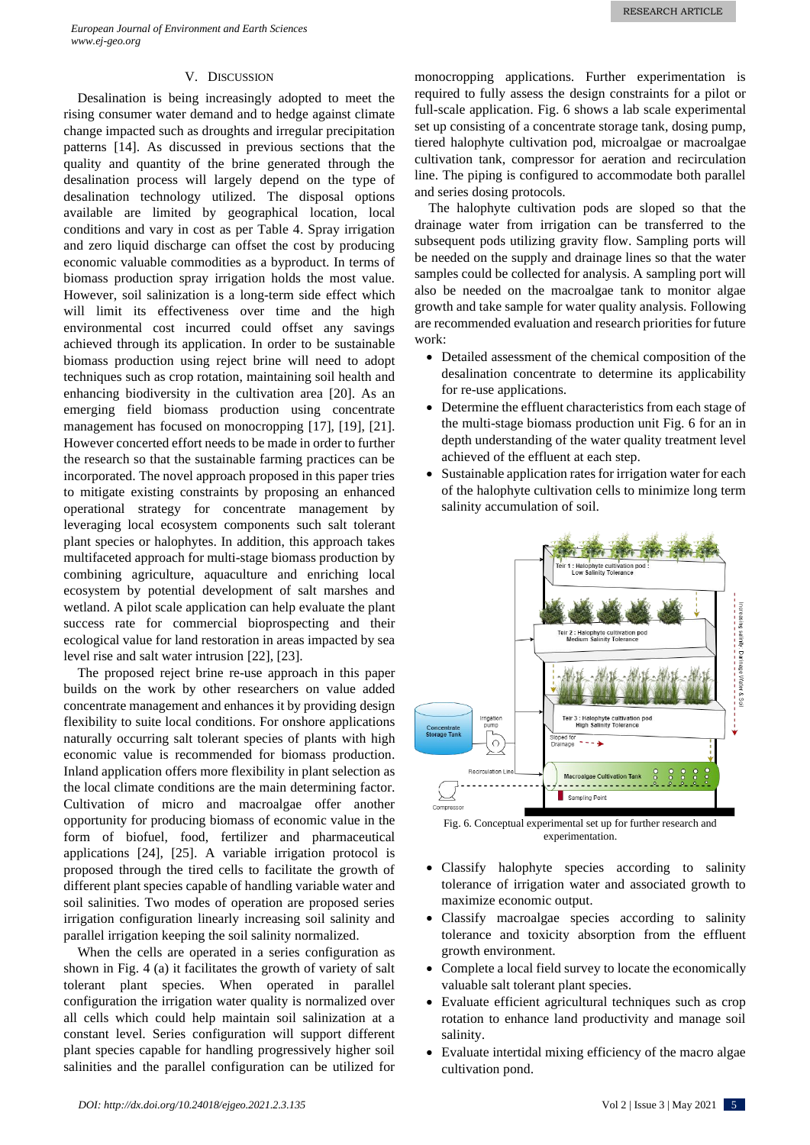#### V. DISCUSSION

Desalination is being increasingly adopted to meet the rising consumer water demand and to hedge against climate change impacted such as droughts and irregular precipitation patterns [14]. As discussed in previous sections that the quality and quantity of the brine generated through the desalination process will largely depend on the type of desalination technology utilized. The disposal options available are limited by geographical location, local conditions and vary in cost as per Table 4. Spray irrigation and zero liquid discharge can offset the cost by producing economic valuable commodities as a byproduct. In terms of biomass production spray irrigation holds the most value. However, soil salinization is a long-term side effect which will limit its effectiveness over time and the high environmental cost incurred could offset any savings achieved through its application. In order to be sustainable biomass production using reject brine will need to adopt techniques such as crop rotation, maintaining soil health and enhancing biodiversity in the cultivation area [20]. As an emerging field biomass production using concentrate management has focused on monocropping [17], [19], [21]. However concerted effort needs to be made in order to further the research so that the sustainable farming practices can be incorporated. The novel approach proposed in this paper tries to mitigate existing constraints by proposing an enhanced operational strategy for concentrate management by leveraging local ecosystem components such salt tolerant plant species or halophytes. In addition, this approach takes multifaceted approach for multi-stage biomass production by combining agriculture, aquaculture and enriching local ecosystem by potential development of salt marshes and wetland. A pilot scale application can help evaluate the plant success rate for commercial bioprospecting and their ecological value for land restoration in areas impacted by sea level rise and salt water intrusion [22], [23].

The proposed reject brine re-use approach in this paper builds on the work by other researchers on value added concentrate management and enhances it by providing design flexibility to suite local conditions. For onshore applications naturally occurring salt tolerant species of plants with high economic value is recommended for biomass production. Inland application offers more flexibility in plant selection as the local climate conditions are the main determining factor. Cultivation of micro and macroalgae offer another opportunity for producing biomass of economic value in the form of biofuel, food, fertilizer and pharmaceutical applications [24], [25]. A variable irrigation protocol is proposed through the tired cells to facilitate the growth of different plant species capable of handling variable water and soil salinities. Two modes of operation are proposed series irrigation configuration linearly increasing soil salinity and parallel irrigation keeping the soil salinity normalized.

When the cells are operated in a series configuration as shown in Fig. 4 (a) it facilitates the growth of variety of salt tolerant plant species. When operated in parallel configuration the irrigation water quality is normalized over all cells which could help maintain soil salinization at a constant level. Series configuration will support different plant species capable for handling progressively higher soil salinities and the parallel configuration can be utilized for monocropping applications. Further experimentation is required to fully assess the design constraints for a pilot or full-scale application. Fig. 6 shows a lab scale experimental set up consisting of a concentrate storage tank, dosing pump, tiered halophyte cultivation pod, microalgae or macroalgae cultivation tank, compressor for aeration and recirculation line. The piping is configured to accommodate both parallel and series dosing protocols.

The halophyte cultivation pods are sloped so that the drainage water from irrigation can be transferred to the subsequent pods utilizing gravity flow. Sampling ports will be needed on the supply and drainage lines so that the water samples could be collected for analysis. A sampling port will also be needed on the macroalgae tank to monitor algae growth and take sample for water quality analysis. Following are recommended evaluation and research priorities for future work:

- Detailed assessment of the chemical composition of the desalination concentrate to determine its applicability for re-use applications.
- Determine the effluent characteristics from each stage of the multi-stage biomass production unit Fig. 6 for an in depth understanding of the water quality treatment level achieved of the effluent at each step.
- Sustainable application rates for irrigation water for each of the halophyte cultivation cells to minimize long term salinity accumulation of soil.



experimentation.

- Classify halophyte species according to salinity tolerance of irrigation water and associated growth to maximize economic output.
- Classify macroalgae species according to salinity tolerance and toxicity absorption from the effluent growth environment.
- Complete a local field survey to locate the economically valuable salt tolerant plant species.
- Evaluate efficient agricultural techniques such as crop rotation to enhance land productivity and manage soil salinity.
- Evaluate intertidal mixing efficiency of the macro algae cultivation pond.